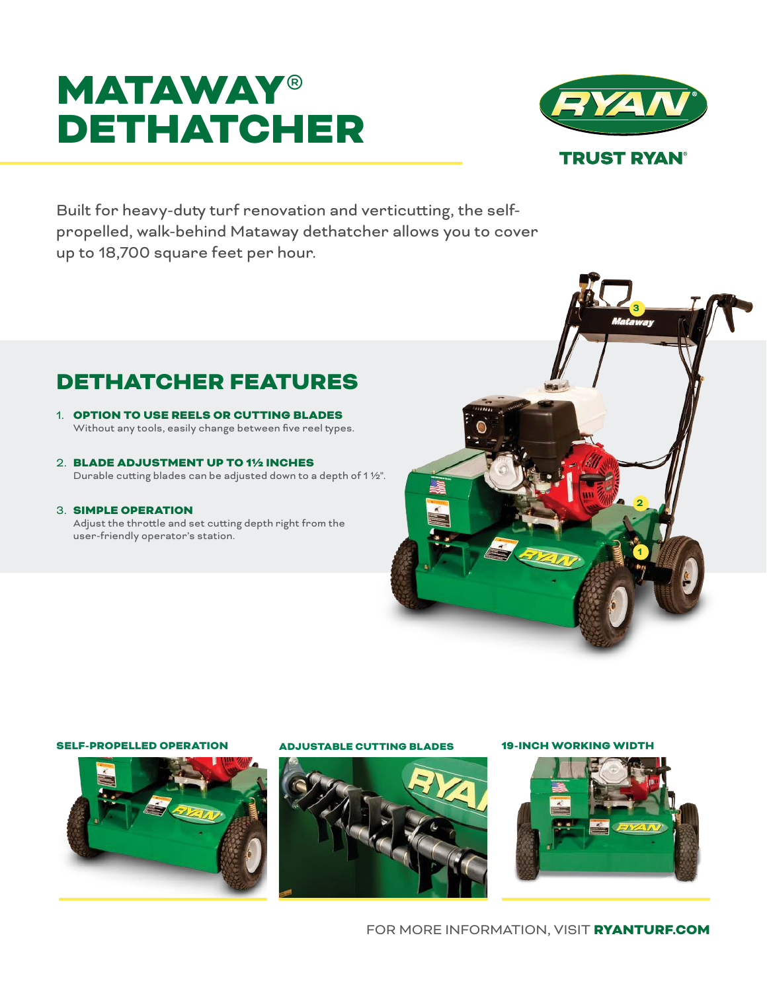# **MATAWAY®** DETHATCHER



Built for heavy-duty turf renovation and verticutting, the selfpropelled, walk-behind Mataway dethatcher allows you to cover up to 18,700 square feet per hour.

## DETHATCHER FEATURES

- 1. OPTION TO USE REELS OR CUTTING BLADES Without any tools, easily change between five reel types.
- 2. BLADE ADJUSTMENT UP TO 1½ INCHES Durable cutting blades can be adjusted down to a depth of 1 ½".
- 3. SIMPLE OPERATION

Adjust the throttle and set cutting depth right from the user-friendly operator's station.



## SELF-PROPELLED OPERATION ADJUSTABLE CUTTING BLADES 19-INCH WORKING WIDTH